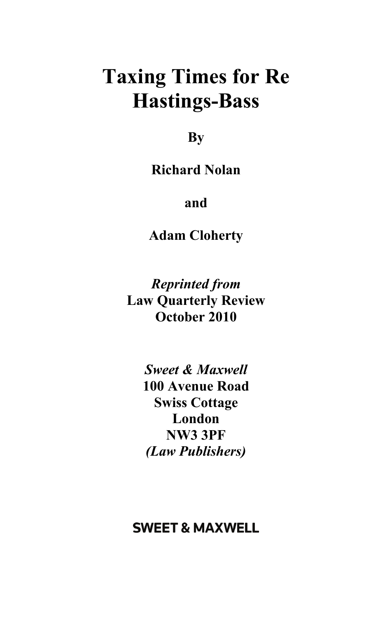## **Taxing Times for Re Hastings-Bass**

**By** 

**Richard Nolan** 

**and** 

**Adam Cloherty** 

*Reprinted from*  **Law Quarterly Review October 2010** 

> *Sweet & Maxwell*  **100 Avenue Road Swiss Cottage London NW3 3PF**  *(Law Publishers)*

## **SWEET & MAXWELL**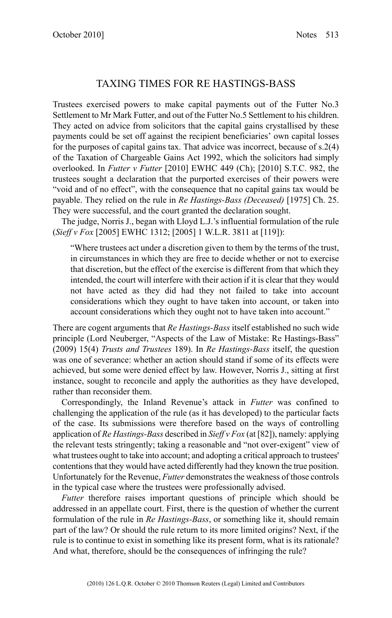## TAXING TIMES FOR RE HASTINGS-BASS

Trustees exercised powers to make capital payments out of the Futter No.3 Settlement to Mr Mark Futter, and out of the Futter No.5 Settlement to his children. They acted on advice from solicitors that the capital gains crystallised by these payments could be set off against the recipient beneficiaries' own capital losses for the purposes of capital gains tax. That advice was incorrect, because of s.2(4) of the Taxation of Chargeable Gains Act 1992, which the solicitors had simply overlooked. In *Futter v Futter* [2010] EWHC 449 (Ch); [2010] S.T.C. 982, the trustees sought a declaration that the purported exercises of their powers were "void and of no effect", with the consequence that no capital gains tax would be payable. They relied on the rule in *Re Hastings-Bass (Deceased)* [1975] Ch. 25. They were successful, and the court granted the declaration sought.

The judge, Norris J., began with Lloyd L.J.'s influential formulation of the rule (*Sieff v Fox* [2005] EWHC 1312; [2005] 1 W.L.R. 3811 at [119]):

"Where trustees act under a discretion given to them by the terms of the trust, in circumstances in which they are free to decide whether or not to exercise that discretion, but the effect of the exercise is different from that which they intended, the court will interfere with their action if it is clear that they would not have acted as they did had they not failed to take into account considerations which they ought to have taken into account, or taken into account considerations which they ought not to have taken into account."

There are cogent arguments that *Re Hastings-Bass* itself established no such wide principle (Lord Neuberger, "Aspects of the Law of Mistake: Re Hastings-Bass" (2009) 15(4) *Trusts and Trustees* 189). In *Re Hastings-Bass* itself, the question was one of severance: whether an action should stand if some of its effects were achieved, but some were denied effect by law. However, Norris J., sitting at first instance, sought to reconcile and apply the authorities as they have developed, rather than reconsider them.

Correspondingly, the Inland Revenue's attack in *Futter* was confined to challenging the application of the rule (as it has developed) to the particular facts of the case. Its submissions were therefore based on the ways of controlling application of *Re Hastings-Bass* described in *Sieff v Fox* (at [82]), namely: applying the relevant tests stringently; taking a reasonable and "not over-exigent" view of what trustees ought to take into account; and adopting a critical approach to trustees' contentions that they would have acted differently had they known the true position. Unfortunately for the Revenue, *Futter* demonstrates the weakness of those controls in the typical case where the trustees were professionally advised.

*Futter* therefore raises important questions of principle which should be addressed in an appellate court. First, there is the question of whether the current formulation of the rule in *Re Hastings-Bass*, or something like it, should remain part of the law? Or should the rule return to its more limited origins? Next, if the rule is to continue to exist in something like its present form, what is its rationale? And what, therefore, should be the consequences of infringing the rule?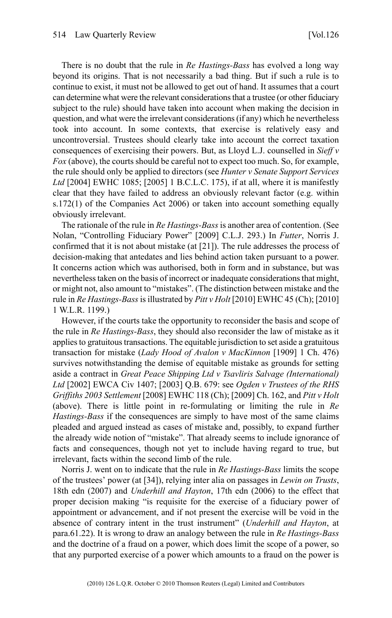There is no doubt that the rule in *Re Hastings-Bass* has evolved a long way beyond its origins. That is not necessarily a bad thing. But if such a rule is to continue to exist, it must not be allowed to get out of hand. It assumes that a court can determine what were the relevant considerations that a trustee (or other fiduciary subject to the rule) should have taken into account when making the decision in question, and what were the irrelevant considerations (if any) which he nevertheless took into account. In some contexts, that exercise is relatively easy and uncontroversial. Trustees should clearly take into account the correct taxation consequences of exercising their powers. But, as Lloyd L.J. counselled in *Sieff v Fox* (above), the courts should be careful not to expect too much. So, for example, the rule should only be applied to directors (see *Hunter v Senate Support Services Ltd* [2004] EWHC 1085; [2005] 1 B.C.L.C. 175), if at all, where it is manifestly clear that they have failed to address an obviously relevant factor (e.g. within s.172(1) of the Companies Act 2006) or taken into account something equally obviously irrelevant.

The rationale of the rule in *Re Hastings-Bass* is another area of contention. (See Nolan, "Controlling Fiduciary Power" [2009] C.L.J. 293.) In *Futter*, Norris J. confirmed that it is not about mistake (at [21]). The rule addresses the process of decision-making that antedates and lies behind action taken pursuant to a power. It concerns action which was authorised, both in form and in substance, but was nevertheless taken on the basis of incorrect or inadequate considerations that might, or might not, also amount to "mistakes". (The distinction between mistake and the rule in *Re Hastings-Bass*is illustrated by *Pitt v Holt* [2010] EWHC 45 (Ch); [2010] 1 W.L.R. 1199.)

However, if the courts take the opportunity to reconsider the basis and scope of the rule in *Re Hastings-Bass*, they should also reconsider the law of mistake as it applies to gratuitous transactions. The equitable jurisdiction to set aside a gratuitous transaction for mistake (*Lady Hood of Avalon v MacKinnon* [1909] 1 Ch. 476) survives notwithstanding the demise of equitable mistake as grounds for setting aside a contract in *Great Peace Shipping Ltd v Tsavliris Salvage (International) Ltd* [2002] EWCA Civ 1407; [2003] Q.B. 679: see *Ogden v Trustees of the RHS Griffiths 2003 Settlement* [2008] EWHC 118 (Ch); [2009] Ch. 162, and *Pitt v Holt* (above). There is little point in re-formulating or limiting the rule in *Re Hastings-Bass* if the consequences are simply to have most of the same claims pleaded and argued instead as cases of mistake and, possibly, to expand further the already wide notion of "mistake". That already seems to include ignorance of facts and consequences, though not yet to include having regard to true, but irrelevant, facts within the second limb of the rule.

Norris J. went on to indicate that the rule in *Re Hastings-Bass* limits the scope of the trustees' power (at [34]), relying inter alia on passages in *Lewin on Trusts*, 18th edn (2007) and *Underhill and Hayton*, 17th edn (2006) to the effect that proper decision making "is requisite for the exercise of a fiduciary power of appointment or advancement, and if not present the exercise will be void in the absence of contrary intent in the trust instrument" (*Underhill and Hayton*, at para.61.22). It is wrong to draw an analogy between the rule in *Re Hastings-Bass* and the doctrine of a fraud on a power, which does limit the scope of a power, so that any purported exercise of a power which amounts to a fraud on the power is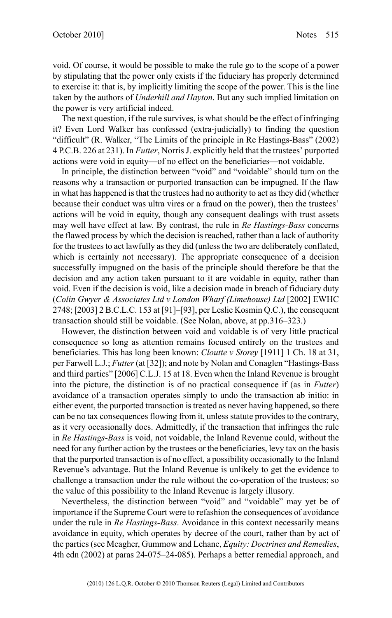void. Of course, it would be possible to make the rule go to the scope of a power by stipulating that the power only exists if the fiduciary has properly determined to exercise it: that is, by implicitly limiting the scope of the power. This is the line taken by the authors of *Underhill and Hayton*. But any such implied limitation on the power is very artificial indeed.

The next question, if the rule survives, is what should be the effect of infringing it? Even Lord Walker has confessed (extra-judicially) to finding the question "difficult" (R. Walker, "The Limits of the principle in Re Hastings-Bass" (2002) 4 P.C.B. 226 at 231). In *Futter*, Norris J. explicitly held that the trustees' purported actions were void in equity—of no effect on the beneficiaries—not voidable.

In principle, the distinction between "void" and "voidable" should turn on the reasons why a transaction or purported transaction can be impugned. If the flaw in what has happened is that the trustees had no authority to act as they did (whether because their conduct was ultra vires or a fraud on the power), then the trustees' actions will be void in equity, though any consequent dealings with trust assets may well have effect at law. By contrast, the rule in *Re Hastings-Bass* concerns the flawed process by which the decision is reached, rather than a lack of authority for the trustees to act lawfully as they did (unless the two are deliberately conflated, which is certainly not necessary). The appropriate consequence of a decision successfully impugned on the basis of the principle should therefore be that the decision and any action taken pursuant to it are voidable in equity, rather than void. Even if the decision is void, like a decision made in breach of fiduciary duty (*Colin Gwyer & Associates Ltd v London Wharf (Limehouse) Ltd* [2002] EWHC 2748; [2003] 2 B.C.L.C. 153 at [91]–[93], per Leslie Kosmin Q.C.), the consequent transaction should still be voidable. (See Nolan, above, at pp.316–323.)

However, the distinction between void and voidable is of very little practical consequence so long as attention remains focused entirely on the trustees and beneficiaries. This has long been known: *Cloutte v Storey* [1911] 1 Ch. 18 at 31, per Farwell L.J.; *Futter* (at [32]); and note by Nolan and Conaglen "Hastings-Bass and third parties" [2006] C.L.J. 15 at 18. Even when the Inland Revenue is brought into the picture, the distinction is of no practical consequence if (as in *Futter*) avoidance of a transaction operates simply to undo the transaction ab initio: in either event, the purported transaction is treated as never having happened, so there can be no tax consequences flowing from it, unless statute provides to the contrary, as it very occasionally does. Admittedly, if the transaction that infringes the rule in *Re Hastings-Bass* is void, not voidable, the Inland Revenue could, without the need for any further action by the trustees or the beneficiaries, levy tax on the basis that the purported transaction is of no effect, a possibility occasionally to the Inland Revenue's advantage. But the Inland Revenue is unlikely to get the evidence to challenge a transaction under the rule without the co-operation of the trustees; so the value of this possibility to the Inland Revenue is largely illusory.

Nevertheless, the distinction between "void" and "voidable" may yet be of importance if the Supreme Court were to refashion the consequences of avoidance under the rule in *Re Hastings-Bass*. Avoidance in this context necessarily means avoidance in equity, which operates by decree of the court, rather than by act of the parties (see Meagher, Gummow and Lehane, *Equity: Doctrines and Remedies*, 4th edn (2002) at paras 24-075–24-085). Perhaps a better remedial approach, and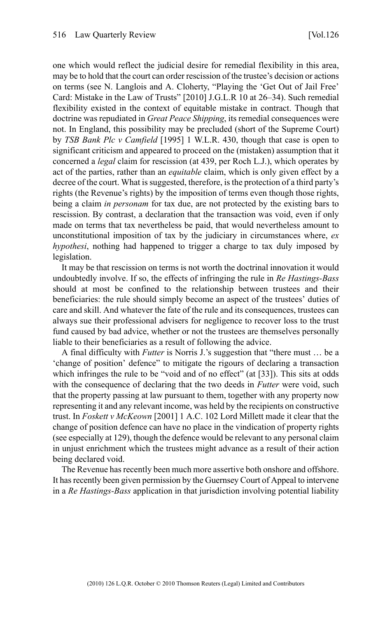one which would reflect the judicial desire for remedial flexibility in this area, may be to hold that the court can order rescission of the trustee's decision or actions on terms (see N. Langlois and A. Cloherty, "Playing the 'Get Out of Jail Free' Card: Mistake in the Law of Trusts" [2010] J.G.L.R 10 at 26–34). Such remedial flexibility existed in the context of equitable mistake in contract. Though that doctrine was repudiated in *Great Peace Shipping*, its remedial consequences were not. In England, this possibility may be precluded (short of the Supreme Court) by *TSB Bank Plc v Camfield* [1995] 1 W.L.R. 430, though that case is open to significant criticism and appeared to proceed on the (mistaken) assumption that it concerned a *legal* claim for rescission (at 439, per Roch L.J.), which operates by act of the parties, rather than an *equitable* claim, which is only given effect by a decree of the court. What is suggested, therefore, is the protection of a third party's rights (the Revenue's rights) by the imposition of terms even though those rights, being a claim *in personam* for tax due, are not protected by the existing bars to rescission. By contrast, a declaration that the transaction was void, even if only made on terms that tax nevertheless be paid, that would nevertheless amount to unconstitutional imposition of tax by the judiciary in circumstances where, *ex hypothesi*, nothing had happened to trigger a charge to tax duly imposed by legislation.

It may be that rescission on terms is not worth the doctrinal innovation it would undoubtedly involve. If so, the effects of infringing the rule in *Re Hastings-Bass* should at most be confined to the relationship between trustees and their beneficiaries: the rule should simply become an aspect of the trustees' duties of care and skill. And whatever the fate of the rule and its consequences, trustees can always sue their professional advisers for negligence to recover loss to the trust fund caused by bad advice, whether or not the trustees are themselves personally liable to their beneficiaries as a result of following the advice.

A final difficulty with *Futter* is Norris J.'s suggestion that "there must … be a 'change of position' defence" to mitigate the rigours of declaring a transaction which infringes the rule to be "void and of no effect" (at [33]). This sits at odds with the consequence of declaring that the two deeds in *Futter* were void, such that the property passing at law pursuant to them, together with any property now representing it and any relevant income, was held by the recipients on constructive trust. In *Foskett v McKeown* [2001] 1 A.C. 102 Lord Millett made it clear that the change of position defence can have no place in the vindication of property rights (see especially at 129), though the defence would be relevant to any personal claim in unjust enrichment which the trustees might advance as a result of their action being declared void.

The Revenue has recently been much more assertive both onshore and offshore. It has recently been given permission by the Guernsey Court of Appeal to intervene in a *Re Hastings-Bass* application in that jurisdiction involving potential liability